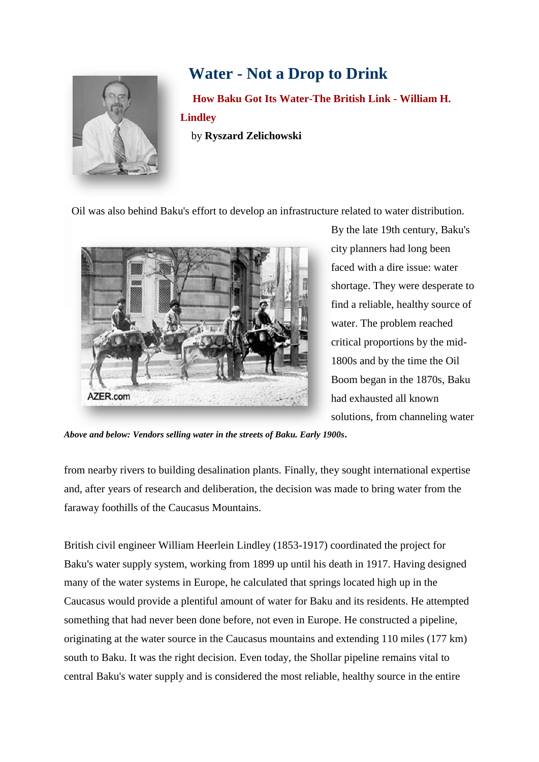

# **Water - Not a Drop to Drink**

 **How Baku Got Its Water-The British Link - William H. Lindley** by **Ryszard Zelichowski**

Oil was also behind Baku's effort to develop an infrastructure related to water distribution.



By the late 19th century, Baku's city planners had long been faced with a dire issue: water shortage. They were desperate to find a reliable, healthy source of water. The problem reached critical proportions by the mid-1800s and by the time the Oil Boom began in the 1870s, Baku had exhausted all known solutions, from channeling water

*Above and below: Vendors selling water in the streets of Baku. Early 1900s***.**

from nearby rivers to building desalination plants. Finally, they sought international expertise and, after years of research and deliberation, the decision was made to bring water from the faraway foothills of the Caucasus Mountains.

British civil engineer William Heerlein Lindley (1853-1917) coordinated the project for Baku's water supply system, working from 1899 up until his death in 1917. Having designed many of the water systems in Europe, he calculated that springs located high up in the Caucasus would provide a plentiful amount of water for Baku and its residents. He attempted something that had never been done before, not even in Europe. He constructed a pipeline, originating at the water source in the Caucasus mountains and extending 110 miles (177 km) south to Baku. It was the right decision. Even today, the Shollar pipeline remains vital to central Baku's water supply and is considered the most reliable, healthy source in the entire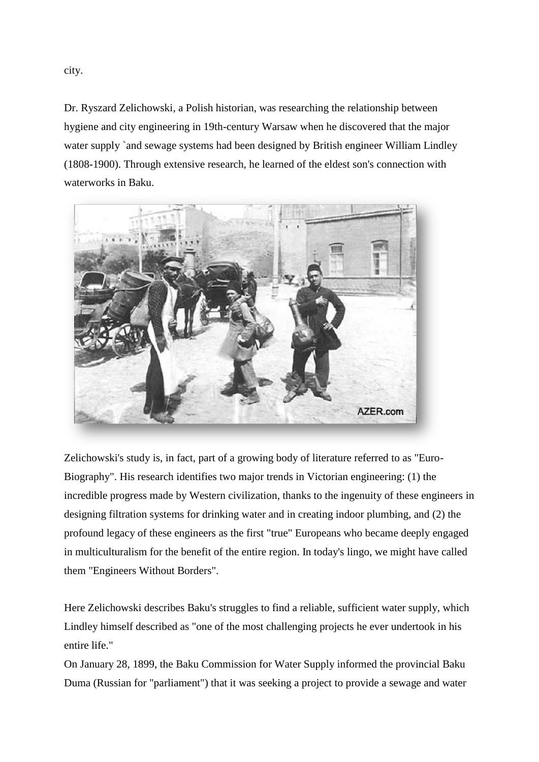city.

Dr. Ryszard Zelichowski, a Polish historian, was researching the relationship between hygiene and city engineering in 19th-century Warsaw when he discovered that the major water supply `and sewage systems had been designed by British engineer William Lindley (1808-1900). Through extensive research, he learned of the eldest son's connection with waterworks in Baku.



Zelichowski's study is, in fact, part of a growing body of literature referred to as "Euro-Biography". His research identifies two major trends in Victorian engineering: (1) the incredible progress made by Western civilization, thanks to the ingenuity of these engineers in designing filtration systems for drinking water and in creating indoor plumbing, and (2) the profound legacy of these engineers as the first "true" Europeans who became deeply engaged in multiculturalism for the benefit of the entire region. In today's lingo, we might have called them "Engineers Without Borders".

Here Zelichowski describes Baku's struggles to find a reliable, sufficient water supply, which Lindley himself described as "one of the most challenging projects he ever undertook in his entire life."

On January 28, 1899, the Baku Commission for Water Supply informed the provincial Baku Duma (Russian for "parliament") that it was seeking a project to provide a sewage and water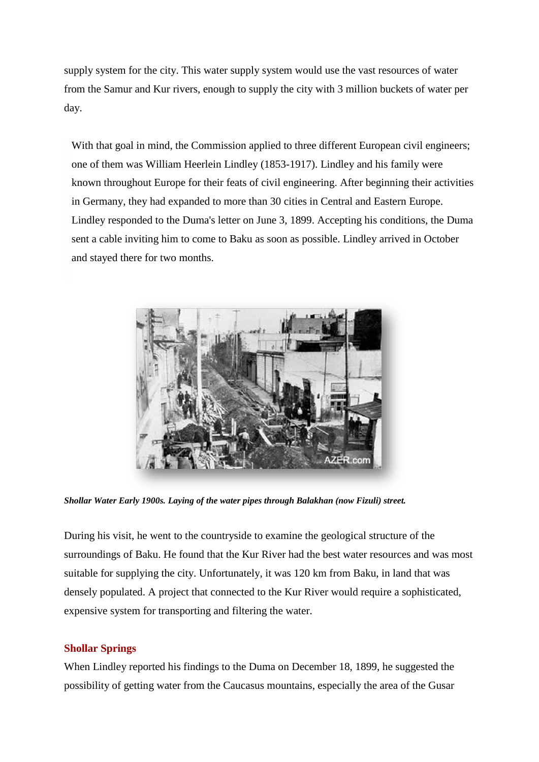supply system for the city. This water supply system would use the vast resources of water from the Samur and Kur rivers, enough to supply the city with 3 million buckets of water per day.

With that goal in mind, the Commission applied to three different European civil engineers; one of them was William Heerlein Lindley (1853-1917). Lindley and his family were known throughout Europe for their feats of civil engineering. After beginning their activities in Germany, they had expanded to more than 30 cities in Central and Eastern Europe. Lindley responded to the Duma's letter on June 3, 1899. Accepting his conditions, the Duma sent a cable inviting him to come to Baku as soon as possible. Lindley arrived in October and stayed there for two months.



*Shollar Water Early 1900s. Laying of the water pipes through Balakhan (now Fizuli) street.*

During his visit, he went to the countryside to examine the geological structure of the surroundings of Baku. He found that the Kur River had the best water resources and was most suitable for supplying the city. Unfortunately, it was 120 km from Baku, in land that was densely populated. A project that connected to the Kur River would require a sophisticated, expensive system for transporting and filtering the water.

## **Shollar Springs**

When Lindley reported his findings to the Duma on December 18, 1899, he suggested the possibility of getting water from the Caucasus mountains, especially the area of the Gusar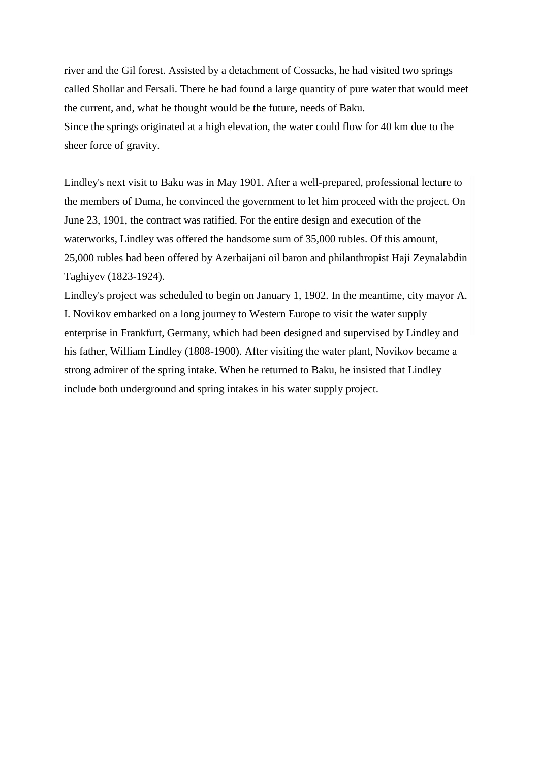river and the Gil forest. Assisted by a detachment of Cossacks, he had visited two springs called Shollar and Fersali. There he had found a large quantity of pure water that would meet the current, and, what he thought would be the future, needs of Baku. Since the springs originated at a high elevation, the water could flow for 40 km due to the sheer force of gravity.

Lindley's next visit to Baku was in May 1901. After a well-prepared, professional lecture to the members of Duma, he convinced the government to let him proceed with the project. On June 23, 1901, the contract was ratified. For the entire design and execution of the waterworks, Lindley was offered the handsome sum of 35,000 rubles. Of this amount, 25,000 rubles had been offered by Azerbaijani oil baron and philanthropist Haji Zeynalabdin Taghiyev (1823-1924).

Lindley's project was scheduled to begin on January 1, 1902. In the meantime, city mayor A. I. Novikov embarked on a long journey to Western Europe to visit the water supply enterprise in Frankfurt, Germany, which had been designed and supervised by Lindley and his father, William Lindley (1808-1900). After visiting the water plant, Novikov became a strong admirer of the spring intake. When he returned to Baku, he insisted that Lindley include both underground and spring intakes in his water supply project.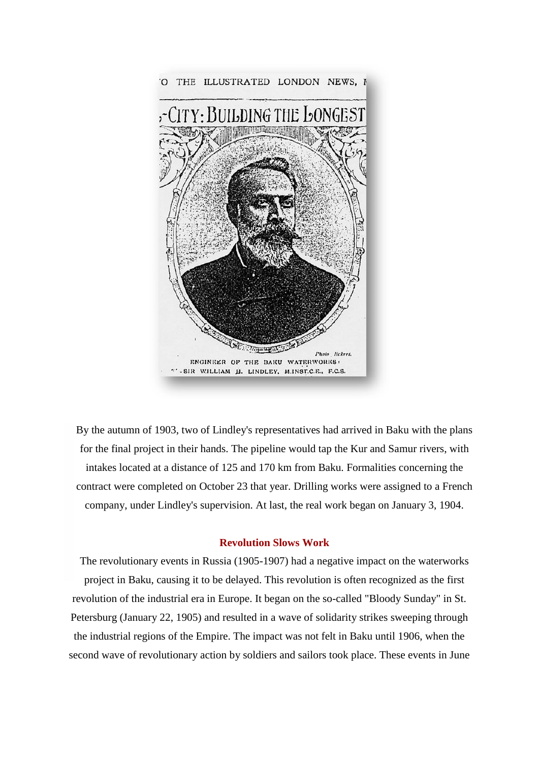

By the autumn of 1903, two of Lindley's representatives had arrived in Baku with the plans for the final project in their hands. The pipeline would tap the Kur and Samur rivers, with intakes located at a distance of 125 and 170 km from Baku. Formalities concerning the contract were completed on October 23 that year. Drilling works were assigned to a French company, under Lindley's supervision. At last, the real work began on January 3, 1904.

#### **Revolution Slows Work**

The revolutionary events in Russia (1905-1907) had a negative impact on the waterworks project in Baku, causing it to be delayed. This revolution is often recognized as the first revolution of the industrial era in Europe. It began on the so-called "Bloody Sunday" in St. Petersburg (January 22, 1905) and resulted in a wave of solidarity strikes sweeping through the industrial regions of the Empire. The impact was not felt in Baku until 1906, when the second wave of revolutionary action by soldiers and sailors took place. These events in June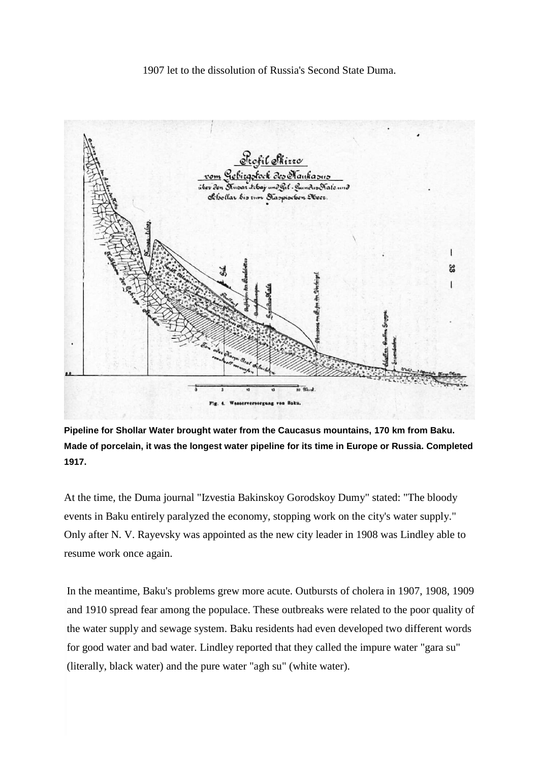## 1907 let to the dissolution of Russia's Second State Duma.



**Pipeline for Shollar Water brought water from the Caucasus mountains, 170 km from Baku. Made of porcelain, it was the longest water pipeline for its time in Europe or Russia. Completed 1917.**

At the time, the Duma journal "Izvestia Bakinskoy Gorodskoy Dumy" stated: "The bloody events in Baku entirely paralyzed the economy, stopping work on the city's water supply." Only after N. V. Rayevsky was appointed as the new city leader in 1908 was Lindley able to resume work once again.

In the meantime, Baku's problems grew more acute. Outbursts of cholera in 1907, 1908, 1909 and 1910 spread fear among the populace. These outbreaks were related to the poor quality of the water supply and sewage system. Baku residents had even developed two different words for good water and bad water. Lindley reported that they called the impure water "gara su" (literally, black water) and the pure water "agh su" (white water).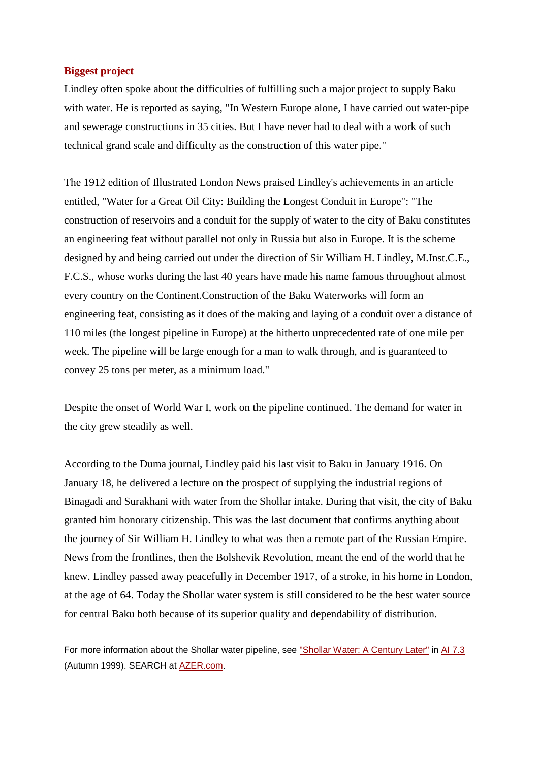### **Biggest project**

Lindley often spoke about the difficulties of fulfilling such a major project to supply Baku with water. He is reported as saying, "In Western Europe alone, I have carried out water-pipe and sewerage constructions in 35 cities. But I have never had to deal with a work of such technical grand scale and difficulty as the construction of this water pipe."

The 1912 edition of Illustrated London News praised Lindley's achievements in an article entitled, "Water for a Great Oil City: Building the Longest Conduit in Europe": "The construction of reservoirs and a conduit for the supply of water to the city of Baku constitutes an engineering feat without parallel not only in Russia but also in Europe. It is the scheme designed by and being carried out under the direction of Sir William H. Lindley, M.Inst.C.E., F.C.S., whose works during the last 40 years have made his name famous throughout almost every country on the Continent.Construction of the Baku Waterworks will form an engineering feat, consisting as it does of the making and laying of a conduit over a distance of 110 miles (the longest pipeline in Europe) at the hitherto unprecedented rate of one mile per week. The pipeline will be large enough for a man to walk through, and is guaranteed to convey 25 tons per meter, as a minimum load."

Despite the onset of World War I, work on the pipeline continued. The demand for water in the city grew steadily as well.

According to the Duma journal, Lindley paid his last visit to Baku in January 1916. On January 18, he delivered a lecture on the prospect of supplying the industrial regions of Binagadi and Surakhani with water from the Shollar intake. During that visit, the city of Baku granted him honorary citizenship. This was the last document that confirms anything about the journey of Sir William H. Lindley to what was then a remote part of the Russian Empire. News from the frontlines, then the Bolshevik Revolution, meant the end of the world that he knew. Lindley passed away peacefully in December 1917, of a stroke, in his home in London, at the age of 64. Today the Shollar water system is still considered to be the best water source for central Baku both because of its superior quality and dependability of distribution.

For more information about the Shollar water pipeline, see ["Shollar Water: A Century Later"](http://www.azer.com/aiweb/categories/magazine/73_folder/73_articles/73_shollar.html) in [AI 7.3](http://www.azer.com/aiweb/categories/magazine/73_folder/73_articles/73_index.html) (Autumn 1999). SEARCH at **AZER.com.**